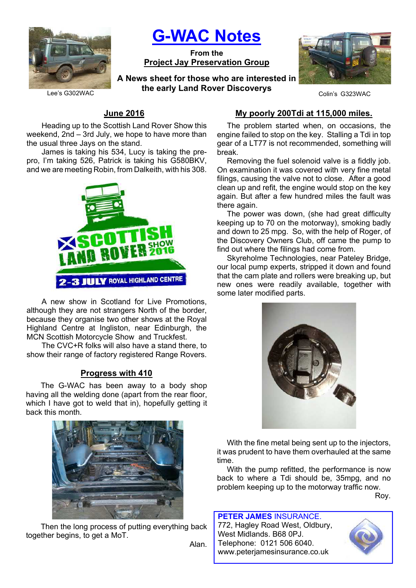

G-WAC Notes

From the Project Jay Preservation Group

Lee's G302WAC **Collective Collection** Collection Collection Collection Collection Collection Collection Collectio A News sheet for those who are interested in the early Land Rover Discoverys



# June 2016

Heading up to the Scottish Land Rover Show this weekend, 2nd – 3rd July, we hope to have more than the usual three Jays on the stand.

James is taking his 534, Lucy is taking the prepro, I'm taking 526, Patrick is taking his G580BKV, and we are meeting Robin, from Dalkeith, with his 308.



A new show in Scotland for Live Promotions, although they are not strangers North of the border, because they organise two other shows at the Royal Highland Centre at Ingliston, near Edinburgh, the MCN Scottish Motorcycle Show and Truckfest.

The CVC+R folks will also have a stand there, to show their range of factory registered Range Rovers.

#### Progress with 410

The G-WAC has been away to a body shop having all the welding done (apart from the rear floor, which I have got to weld that in), hopefully getting it back this month.



Then the long process of putting everything back together begins, to get a MoT.

Alan.

### My poorly 200Tdi at 115,000 miles.

The problem started when, on occasions, the engine failed to stop on the key. Stalling a Tdi in top gear of a LT77 is not recommended, something will break.

Removing the fuel solenoid valve is a fiddly job. On examination it was covered with very fine metal filings, causing the valve not to close. After a good clean up and refit, the engine would stop on the key again. But after a few hundred miles the fault was there again.

The power was down, (she had great difficulty keeping up to 70 on the motorway), smoking badly and down to 25 mpg. So, with the help of Roger, of the Discovery Owners Club, off came the pump to find out where the filings had come from.

Skyreholme Technologies, near Pateley Bridge, our local pump experts, stripped it down and found that the cam plate and rollers were breaking up, but new ones were readily available, together with some later modified parts.



With the fine metal being sent up to the injectors, it was prudent to have them overhauled at the same time.

With the pump refitted, the performance is now back to where a Tdi should be, 35mpg, and no problem keeping up to the motorway traffic now.

Roy.

PETER JAMES INSURANCE. 772, Hagley Road West, Oldbury, West Midlands. B68 0PJ. Telephone: 0121 506 6040. www.peterjamesinsurance.co.uk

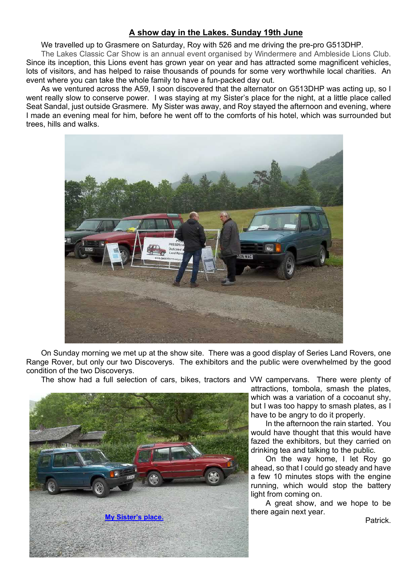## A show day in the Lakes. Sunday 19th June

We travelled up to Grasmere on Saturday, Roy with 526 and me driving the pre-pro G513DHP.

The Lakes Classic Car Show is an annual event organised by Windermere and Ambleside Lions Club. Since its inception, this Lions event has grown year on year and has attracted some magnificent vehicles, lots of visitors, and has helped to raise thousands of pounds for some very worthwhile local charities. An event where you can take the whole family to have a fun-packed day out.

As we ventured across the A59, I soon discovered that the alternator on G513DHP was acting up, so I went really slow to conserve power. I was staying at my Sister's place for the night, at a little place called Seat Sandal, just outside Grasmere. My Sister was away, and Roy stayed the afternoon and evening, where I made an evening meal for him, before he went off to the comforts of his hotel, which was surrounded but trees, hills and walks.



On Sunday morning we met up at the show site. There was a good display of Series Land Rovers, one Range Rover, but only our two Discoverys. The exhibitors and the public were overwhelmed by the good condition of the two Discoverys.

The show had a full selection of cars, bikes, tractors and VW campervans. There were plenty of



attractions, tombola, smash the plates, which was a variation of a cocoanut shy, but I was too happy to smash plates, as I have to be angry to do it properly.

In the afternoon the rain started. You would have thought that this would have fazed the exhibitors, but they carried on drinking tea and talking to the public.

On the way home, I let Roy go ahead, so that I could go steady and have a few 10 minutes stops with the engine running, which would stop the battery light from coming on.

A great show, and we hope to be there again next year.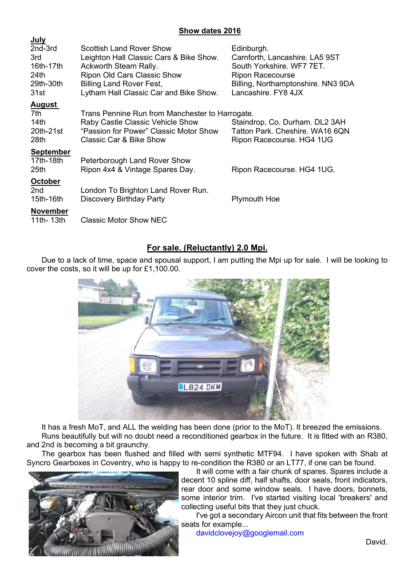### Show dates 2016

| <u>July</u>                                                          |                                                                                                                                                                                                                 |                                                                                                                                                                   |
|----------------------------------------------------------------------|-----------------------------------------------------------------------------------------------------------------------------------------------------------------------------------------------------------------|-------------------------------------------------------------------------------------------------------------------------------------------------------------------|
| 2nd-3rd<br>3rd<br>16th-17th<br>24 <sub>th</sub><br>29th-30th<br>31st | <b>Scottish Land Rover Show</b><br>Leighton Hall Classic Cars & Bike Show.<br>Ackworth Steam Rally.<br>Ripon Old Cars Classic Show<br><b>Billing Land Rover Fest,</b><br>Lytham Hall Classic Car and Bike Show. | Edinburgh.<br>Carnforth, Lancashire. LA5 9ST<br>South Yorkshire. WF7 7ET.<br><b>Ripon Racecourse</b><br>Billing, Northamptonshire. NN3 9DA<br>Lancashire, FY8 4JX |
| <b>August</b>                                                        |                                                                                                                                                                                                                 |                                                                                                                                                                   |
| 7th<br>14th<br>20th-21st<br>28th                                     | Trans Pennine Run from Manchester to Harrogate.<br>Raby Castle Classic Vehicle Show<br>"Passion for Power" Classic Motor Show<br>Classic Car & Bike Show                                                        | Staindrop, Co. Durham. DL2 3AH<br>Tatton Park, Cheshire, WA16 6QN<br>Ripon Racecourse. HG4 1UG                                                                    |
| <b>September</b><br>17th-18th<br>25th                                | Peterborough Land Rover Show<br>Ripon 4x4 & Vintage Spares Day.                                                                                                                                                 | Ripon Racecourse. HG4 1UG.                                                                                                                                        |
| <b>October</b><br>2nd<br>15th-16th                                   | London To Brighton Land Rover Run.<br>Discovery Birthday Party                                                                                                                                                  | <b>Plymouth Hoe</b>                                                                                                                                               |
| <b>November</b><br>11th-13th                                         | <b>Classic Motor Show NEC</b>                                                                                                                                                                                   |                                                                                                                                                                   |
|                                                                      |                                                                                                                                                                                                                 |                                                                                                                                                                   |

## For sale. (Reluctantly) 2.0 Mpi.

Due to a lack of time, space and spousal support, I am putting the Mpi up for sale. I will be looking to cover the costs, so it will be up for £1,100.00.



It has a fresh MoT, and ALL the welding has been done (prior to the MoT). It breezed the emissions. Runs beautifully but will no doubt need a reconditioned gearbox in the future. It is fitted with an R380, and 2nd is becoming a bit graunchy.

The gearbox has been flushed and filled with semi synthetic MTF94. I have spoken with Shab at Syncro Gearboxes in Coventry, who is happy to re-condition the R380 or an LT77, if one can be found.



It will come with a fair chunk of spares. Spares include a decent 10 spline diff, half shafts, door seals, front indicators, rear door and some window seals. I have doors, bonnets, some interior trim. I've started visiting local 'breakers' and collecting useful bits that they just chuck.

I've got a secondary Aircon unit that fits between the front seats for example...

davidclovejoy@googlemail.com

David.